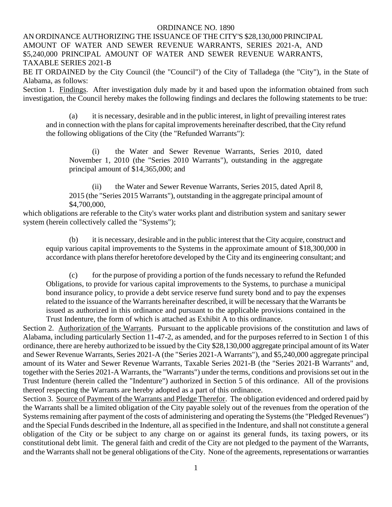### ORDINANCE NO. 1890

AN ORDINANCE AUTHORIZING THE ISSUANCE OF THE CITY'S \$28,130,000 PRINCIPAL AMOUNT OF WATER AND SEWER REVENUE WARRANTS, SERIES 2021-A, AND \$5,240,000 PRINCIPAL AMOUNT OF WATER AND SEWER REVENUE WARRANTS, TAXABLE SERIES 2021-B

BE IT ORDAINED by the City Council (the "Council") of the City of Talladega (the "City"), in the State of Alabama, as follows:

Section 1. Findings. After investigation duly made by it and based upon the information obtained from such investigation, the Council hereby makes the following findings and declares the following statements to be true:

(a) it is necessary, desirable and in the public interest, in light of prevailing interest rates and in connection with the plans for capital improvements hereinafter described, that the City refund the following obligations of the City (the "Refunded Warrants"):

(i) the Water and Sewer Revenue Warrants, Series 2010, dated November 1, 2010 (the "Series 2010 Warrants"), outstanding in the aggregate principal amount of \$14,365,000; and

(ii) the Water and Sewer Revenue Warrants, Series 2015, dated April 8, 2015 (the "Series 2015 Warrants"), outstanding in the aggregate principal amount of \$4,700,000,

which obligations are referable to the City's water works plant and distribution system and sanitary sewer system (herein collectively called the "Systems");

(b) it is necessary, desirable and in the public interest that the City acquire, construct and equip various capital improvements to the Systems in the approximate amount of \$18,300,000 in accordance with plans therefor heretofore developed by the City and its engineering consultant; and

(c) for the purpose of providing a portion of the funds necessary to refund the Refunded Obligations, to provide for various capital improvements to the Systems, to purchase a municipal bond insurance policy, to provide a debt service reserve fund surety bond and to pay the expenses related to the issuance of the Warrants hereinafter described, it will be necessary that the Warrants be issued as authorized in this ordinance and pursuant to the applicable provisions contained in the Trust Indenture, the form of which is attached as Exhibit A to this ordinance.

Section 2. Authorization of the Warrants. Pursuant to the applicable provisions of the constitution and laws of Alabama, including particularly Section 11-47-2, as amended, and for the purposes referred to in Section 1 of this ordinance, there are hereby authorized to be issued by the City \$28,130,000 aggregate principal amount of its Water and Sewer Revenue Warrants, Series 2021-A (the "Series 2021-A Warrants"), and \$5,240,000 aggregate principal amount of its Water and Sewer Revenue Warrants, Taxable Series 2021-B (the "Series 2021-B Warrants" and, together with the Series 2021-A Warrants, the "Warrants") under the terms, conditions and provisions set out in the Trust Indenture (herein called the "Indenture") authorized in Section 5 of this ordinance. All of the provisions thereof respecting the Warrants are hereby adopted as a part of this ordinance.

Section 3. Source of Payment of the Warrants and Pledge Therefor. The obligation evidenced and ordered paid by the Warrants shall be a limited obligation of the City payable solely out of the revenues from the operation of the Systems remaining after payment of the costs of administering and operating the Systems (the "Pledged Revenues") and the Special Funds described in the Indenture, all as specified in the Indenture, and shall not constitute a general obligation of the City or be subject to any charge on or against its general funds, its taxing powers, or its constitutional debt limit. The general faith and credit of the City are not pledged to the payment of the Warrants, and the Warrants shall not be general obligations of the City. None of the agreements, representations or warranties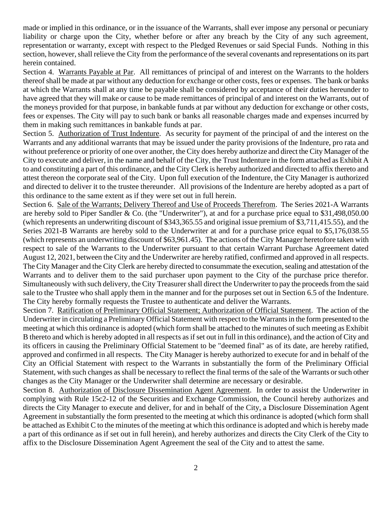made or implied in this ordinance, or in the issuance of the Warrants, shall ever impose any personal or pecuniary liability or charge upon the City, whether before or after any breach by the City of any such agreement, representation or warranty, except with respect to the Pledged Revenues or said Special Funds. Nothing in this section, however, shall relieve the City from the performance of the several covenants and representations on its part herein contained.

Section 4. Warrants Payable at Par. All remittances of principal of and interest on the Warrants to the holders thereof shall be made at par without any deduction for exchange or other costs, fees or expenses. The bank or banks at which the Warrants shall at any time be payable shall be considered by acceptance of their duties hereunder to have agreed that they will make or cause to be made remittances of principal of and interest on the Warrants, out of the moneys provided for that purpose, in bankable funds at par without any deduction for exchange or other costs, fees or expenses. The City will pay to such bank or banks all reasonable charges made and expenses incurred by them in making such remittances in bankable funds at par.

Section 5. Authorization of Trust Indenture. As security for payment of the principal of and the interest on the Warrants and any additional warrants that may be issued under the parity provisions of the Indenture, pro rata and without preference or priority of one over another, the City does hereby authorize and direct the City Manager of the City to execute and deliver, in the name and behalf of the City, the Trust Indenture in the form attached as Exhibit A to and constituting a part of this ordinance, and the City Clerk is hereby authorized and directed to affix thereto and attest thereon the corporate seal of the City. Upon full execution of the Indenture, the City Manager is authorized and directed to deliver it to the trustee thereunder. All provisions of the Indenture are hereby adopted as a part of this ordinance to the same extent as if they were set out in full herein.

Section 6. Sale of the Warrants; Delivery Thereof and Use of Proceeds Therefrom. The Series 2021-A Warrants are hereby sold to Piper Sandler & Co. (the "Underwriter"), at and for a purchase price equal to \$31,498,050.00 (which represents an underwriting discount of \$343,365.55 and original issue premium of \$3,711,415.55), and the Series 2021-B Warrants are hereby sold to the Underwriter at and for a purchase price equal to \$5,176,038.55 (which represents an underwriting discount of \$63,961.45). The actions of the City Manager heretofore taken with respect to sale of the Warrants to the Underwriter pursuant to that certain Warrant Purchase Agreement dated August 12, 2021, between the City and the Underwriter are hereby ratified, confirmed and approved in all respects. The City Manager and the City Clerk are hereby directed to consummate the execution, sealing and attestation of the Warrants and to deliver them to the said purchaser upon payment to the City of the purchase price therefor. Simultaneously with such delivery, the City Treasurer shall direct the Underwriter to pay the proceeds from the said sale to the Trustee who shall apply them in the manner and for the purposes set out in Section 6.5 of the Indenture. The City hereby formally requests the Trustee to authenticate and deliver the Warrants.

Section 7. Ratification of Preliminary Official Statement; Authorization of Official Statement. The action of the Underwriter in circulating a Preliminary Official Statement with respect to the Warrantsin the form presented to the meeting at which this ordinance is adopted (which form shall be attached to the minutes of such meeting as Exhibit B thereto and which is hereby adopted in all respects as if set out in full in this ordinance), and the action of City and its officers in causing the Preliminary Official Statement to be "deemed final" as of its date, are hereby ratified, approved and confirmed in all respects. The City Manager is hereby authorized to execute for and in behalf of the City an Official Statement with respect to the Warrants in substantially the form of the Preliminary Official Statement, with such changes as shall be necessary to reflect the final terms of the sale of the Warrants or such other changes as the City Manager or the Underwriter shall determine are necessary or desirable.

Section 8. Authorization of Disclosure Dissemination Agent Agreement. In order to assist the Underwriter in complying with Rule 15c2-12 of the Securities and Exchange Commission, the Council hereby authorizes and directs the City Manager to execute and deliver, for and in behalf of the City, a Disclosure Dissemination Agent Agreement in substantially the form presented to the meeting at which this ordinance is adopted (which form shall be attached as Exhibit C to the minutes of the meeting at which this ordinance is adopted and which is hereby made a part of this ordinance as if set out in full herein), and hereby authorizes and directs the City Clerk of the City to affix to the Disclosure Dissemination Agent Agreement the seal of the City and to attest the same.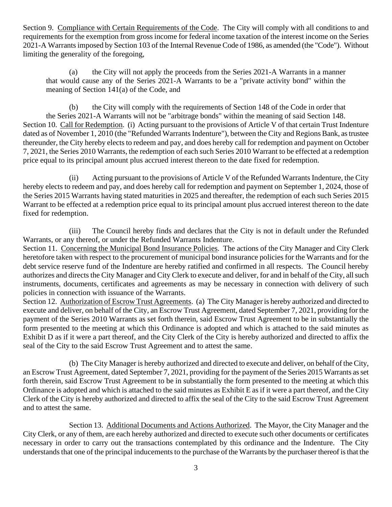Section 9. Compliance with Certain Requirements of the Code. The City will comply with all conditions to and requirements for the exemption from gross income for federal income taxation of the interest income on the Series 2021-A Warrants imposed by Section 103 of the Internal Revenue Code of 1986, as amended (the "Code"). Without limiting the generality of the foregoing,

(a) the City will not apply the proceeds from the Series 2021-A Warrants in a manner that would cause any of the Series 2021-A Warrants to be a "private activity bond" within the meaning of Section 141(a) of the Code, and

(b) the City will comply with the requirements of Section 148 of the Code in order that the Series 2021-A Warrants will not be "arbitrage bonds" within the meaning of said Section 148. Section 10. Call for Redemption. (i) Acting pursuant to the provisions of Article V of that certain Trust Indenture dated as of November 1, 2010 (the "Refunded Warrants Indenture"), between the City and Regions Bank, as trustee thereunder, the City hereby elects to redeem and pay, and does hereby call for redemption and payment on October 7, 2021, the Series 2010 Warrants, the redemption of each such Series 2010 Warrant to be effected at a redemption price equal to its principal amount plus accrued interest thereon to the date fixed for redemption.

(ii) Acting pursuant to the provisions of Article V of the Refunded Warrants Indenture, the City hereby elects to redeem and pay, and does hereby call for redemption and payment on September 1, 2024, those of the Series 2015 Warrants having stated maturities in 2025 and thereafter, the redemption of each such Series 2015 Warrant to be effected at a redemption price equal to its principal amount plus accrued interest thereon to the date fixed for redemption.

(iii) The Council hereby finds and declares that the City is not in default under the Refunded Warrants, or any thereof, or under the Refunded Warrants Indenture.

Section 11. Concerning the Municipal Bond Insurance Policies. The actions of the City Manager and City Clerk heretofore taken with respect to the procurement of municipal bond insurance policies for the Warrants and for the debt service reserve fund of the Indenture are hereby ratified and confirmed in all respects. The Council hereby authorizes and directs the City Manager and City Clerk to execute and deliver, for and in behalf of the City, all such instruments, documents, certificates and agreements as may be necessary in connection with delivery of such policies in connection with issuance of the Warrants.

Section 12. Authorization of Escrow Trust Agreements. (a) The City Manager is hereby authorized and directed to execute and deliver, on behalf of the City, an Escrow Trust Agreement, dated September 7, 2021, providing for the payment of the Series 2010 Warrants as set forth therein, said Escrow Trust Agreement to be in substantially the form presented to the meeting at which this Ordinance is adopted and which is attached to the said minutes as Exhibit D as if it were a part thereof, and the City Clerk of the City is hereby authorized and directed to affix the seal of the City to the said Escrow Trust Agreement and to attest the same.

(b) The City Manager is hereby authorized and directed to execute and deliver, on behalf of the City, an Escrow Trust Agreement, dated September 7, 2021, providing for the payment of the Series 2015 Warrants as set forth therein, said Escrow Trust Agreement to be in substantially the form presented to the meeting at which this Ordinance is adopted and which is attached to the said minutes as Exhibit E as if it were a part thereof, and the City Clerk of the City is hereby authorized and directed to affix the seal of the City to the said Escrow Trust Agreement and to attest the same.

Section 13. Additional Documents and Actions Authorized. The Mayor, the City Manager and the City Clerk, or any of them, are each hereby authorized and directed to execute such other documents or certificates necessary in order to carry out the transactions contemplated by this ordinance and the Indenture. The City understands that one of the principal inducements to the purchase of the Warrants by the purchaser thereof is that the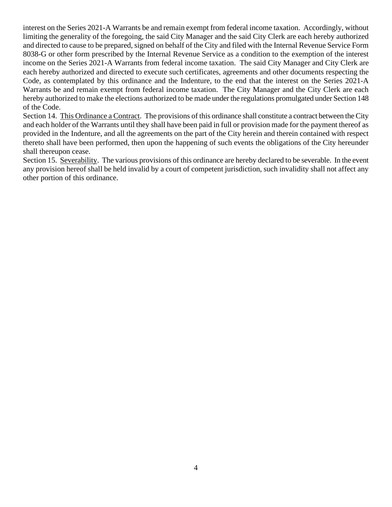interest on the Series 2021-A Warrants be and remain exempt from federal income taxation. Accordingly, without limiting the generality of the foregoing, the said City Manager and the said City Clerk are each hereby authorized and directed to cause to be prepared, signed on behalf of the City and filed with the Internal Revenue Service Form 8038-G or other form prescribed by the Internal Revenue Service as a condition to the exemption of the interest income on the Series 2021-A Warrants from federal income taxation. The said City Manager and City Clerk are each hereby authorized and directed to execute such certificates, agreements and other documents respecting the Code, as contemplated by this ordinance and the Indenture, to the end that the interest on the Series 2021-A Warrants be and remain exempt from federal income taxation. The City Manager and the City Clerk are each hereby authorized to make the elections authorized to be made under the regulations promulgated under Section 148 of the Code.

Section 14. This Ordinance a Contract. The provisions of this ordinance shall constitute a contract between the City and each holder of the Warrants until they shall have been paid in full or provision made for the payment thereof as provided in the Indenture, and all the agreements on the part of the City herein and therein contained with respect thereto shall have been performed, then upon the happening of such events the obligations of the City hereunder shall thereupon cease.

Section 15. Severability. The various provisions of this ordinance are hereby declared to be severable. In the event any provision hereof shall be held invalid by a court of competent jurisdiction, such invalidity shall not affect any other portion of this ordinance.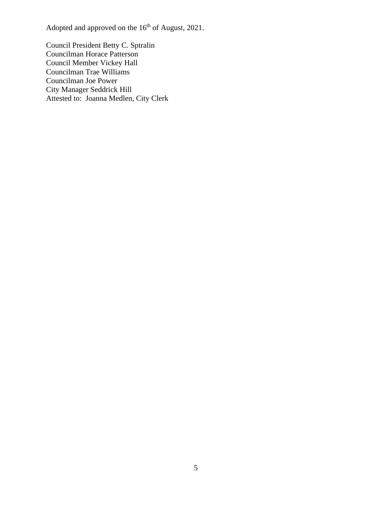Adopted and approved on the  $16<sup>th</sup>$  of August, 2021.

Council President Betty C. Sptralin Councilman Horace Patterson Council Member Vickey Hall Councilman Trae Williams Councilman Joe Power City Manager Seddrick Hill Attested to: Joanna Medlen, City Clerk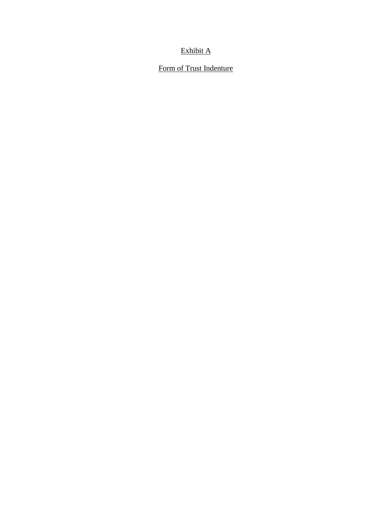# Exhibit A

### Form of Trust Indenture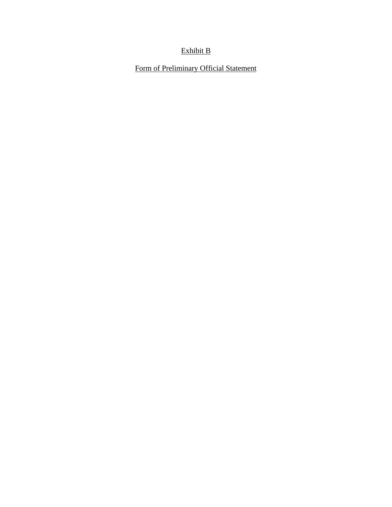# Exhibit B

Form of Preliminary Official Statement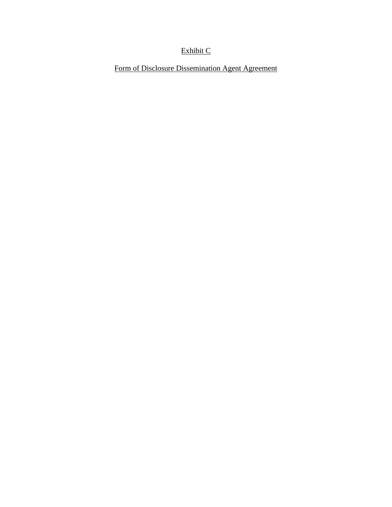# Exhibit C

Form of Disclosure Dissemination Agent Agreement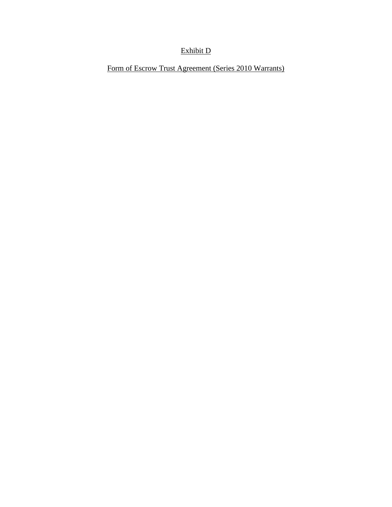# Exhibit D

Form of Escrow Trust Agreement (Series 2010 Warrants)